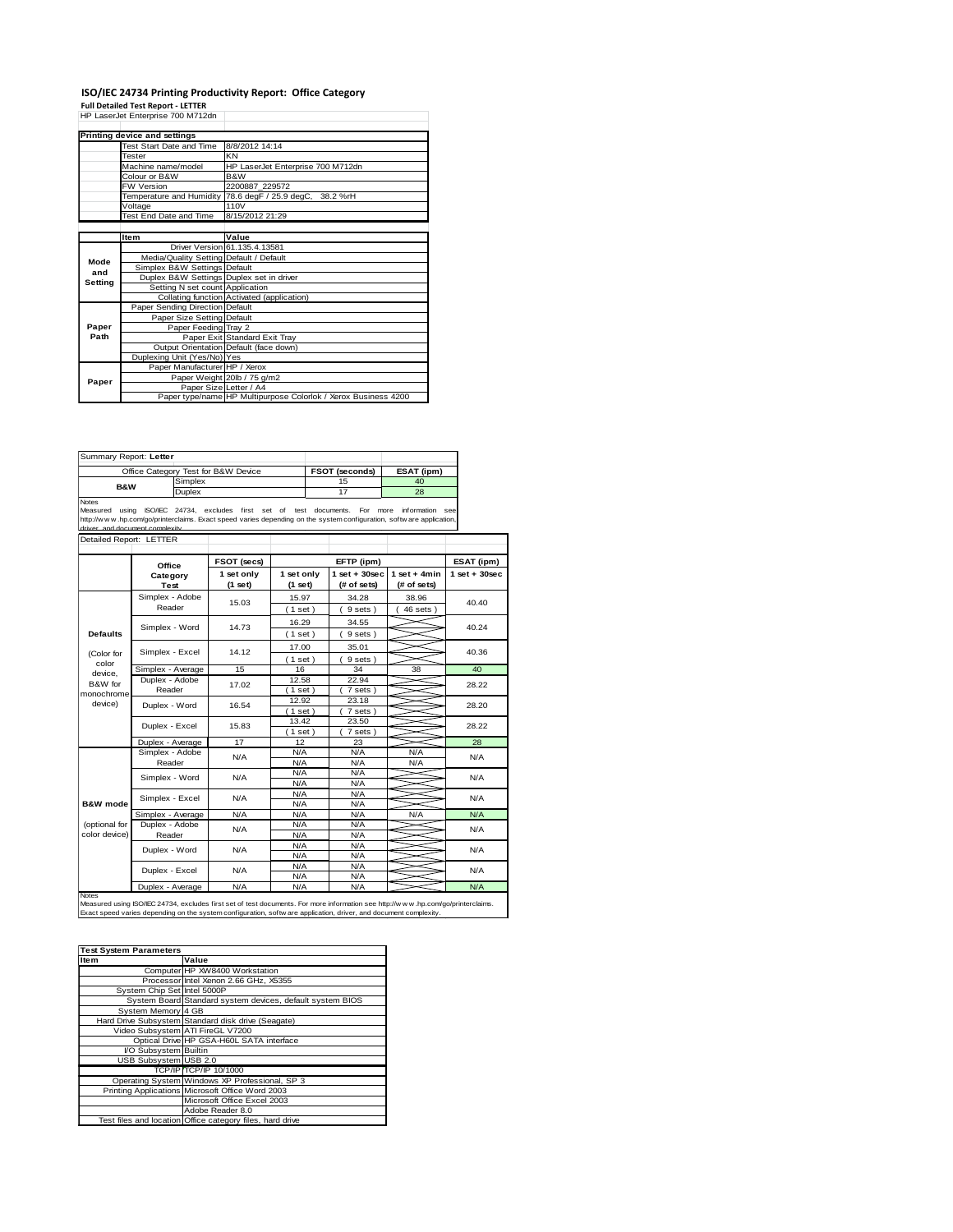## **ISO/IEC 24734 Printing Productivity Report: Office Category Full Detailed Test Report - LETTER** HP LaserJet Enterprise 700 M712dn

|         | HP Laserjet Enterprise 700 M7 izdn       |                                                                |  |  |  |
|---------|------------------------------------------|----------------------------------------------------------------|--|--|--|
|         | Printing device and settings             |                                                                |  |  |  |
|         | Test Start Date and Time                 | 8/8/2012 14:14                                                 |  |  |  |
|         | Tester                                   | KN                                                             |  |  |  |
|         | Machine name/model                       | HP LaserJet Enterprise 700 M712dn                              |  |  |  |
|         | Colour or B&W                            | B&W<br>2200887 229572                                          |  |  |  |
|         | FW Version                               |                                                                |  |  |  |
|         |                                          | Temperature and Humidity 78.6 degF / 25.9 degC, 38.2 %rH       |  |  |  |
|         | Voltage                                  | 110V                                                           |  |  |  |
|         | Test End Date and Time                   | 8/15/2012 21:29                                                |  |  |  |
|         |                                          |                                                                |  |  |  |
|         | Item                                     | Value                                                          |  |  |  |
|         |                                          | Driver Version 61.135.4.13581                                  |  |  |  |
| Mode    | Media/Quality Setting Default / Default  |                                                                |  |  |  |
| and     | Simplex B&W Settings Default             |                                                                |  |  |  |
| Setting | Duplex B&W Settings Duplex set in driver |                                                                |  |  |  |
|         | Setting N set count Application          |                                                                |  |  |  |
|         |                                          | Collating function Activated (application)                     |  |  |  |
|         | Paper Sending Direction Default          |                                                                |  |  |  |
|         | Paper Size Setting Default               |                                                                |  |  |  |
| Paper   | Paper Feeding Tray 2                     |                                                                |  |  |  |
| Path    |                                          | Paper Exit Standard Exit Tray                                  |  |  |  |
|         |                                          | Output Orientation Default (face down)                         |  |  |  |
|         | Duplexing Unit (Yes/No) Yes              |                                                                |  |  |  |
|         | Paper Manufacturer HP / Xerox            |                                                                |  |  |  |
| Paper   |                                          | Paper Weight 20lb / 75 g/m2                                    |  |  |  |
|         | Paper Size Letter / A4                   |                                                                |  |  |  |
|         |                                          | Paper type/name HP Multipurpose Colorlok / Xerox Business 4200 |  |  |  |

| Summary Report: Letter                             |                                 |                |                                                                                                                                                             |                       |            |                                  |                               |                 |  |
|----------------------------------------------------|---------------------------------|----------------|-------------------------------------------------------------------------------------------------------------------------------------------------------------|-----------------------|------------|----------------------------------|-------------------------------|-----------------|--|
| Office Category Test for B&W Device                |                                 |                |                                                                                                                                                             | FSOT (seconds)<br>15  |            | ESAT (ipm)                       |                               |                 |  |
| <b>B&amp;W</b>                                     |                                 | Simplex        |                                                                                                                                                             |                       |            |                                  | 40                            |                 |  |
| <b>Notes</b>                                       |                                 | Duplex         |                                                                                                                                                             |                       |            | 17                               | 28                            |                 |  |
| Measured using<br>driver, and document complexity. |                                 |                | ISO/IEC 24734, excludes first set of<br>http://www.hp.com/go/printerclaims. Exact speed varies depending on the system configuration, software application, |                       |            | test documents.<br>For<br>more   | information see               |                 |  |
| Detailed Report: LETTER                            |                                 |                |                                                                                                                                                             |                       |            |                                  |                               |                 |  |
|                                                    |                                 |                |                                                                                                                                                             |                       |            |                                  |                               |                 |  |
|                                                    | Office                          |                | FSOT (secs)                                                                                                                                                 | EFTP (ipm)            |            |                                  | ESAT (ipm)                    |                 |  |
|                                                    | Category<br>Test                |                | 1 set only<br>(1 set)                                                                                                                                       | 1 set only<br>(1 set) |            | $1$ set $+30$ sec<br>(# of sets) | $1$ set + 4min<br>(# of sets) | $1$ set + 30sec |  |
|                                                    | Simplex - Adobe                 |                | 15.03                                                                                                                                                       | 15.97                 |            | 34.28                            | 38.96                         |                 |  |
|                                                    | Reader                          |                |                                                                                                                                                             | (1 set)               |            | 9 sets)                          | $46$ sets $)$                 | 40.40           |  |
|                                                    |                                 |                |                                                                                                                                                             | 16.29                 |            | 34.55                            |                               | 40.24           |  |
| <b>Defaults</b>                                    | Simplex - Word                  |                | 14.73                                                                                                                                                       | (1 set)               |            | 9 sets)                          |                               |                 |  |
|                                                    |                                 |                |                                                                                                                                                             | 17.00                 |            | 35.01                            |                               |                 |  |
| (Color for                                         | Simplex - Excel                 |                | 14.12                                                                                                                                                       | (1 set )              |            | 9 sets)                          |                               | 40.36           |  |
| color                                              | Simplex - Average               |                | 15                                                                                                                                                          | 16                    |            | 34                               | 38                            | 40              |  |
| device.<br>B&W for                                 | Duplex - Adobe<br>Reader        | 17.02          | 12.58                                                                                                                                                       |                       | 22.94      |                                  | 28.22                         |                 |  |
| monochrome                                         |                                 |                | $(1$ set                                                                                                                                                    |                       | 7 sets)    |                                  |                               |                 |  |
| device)                                            | Duplex - Word<br>Duplex - Excel | 16.54<br>15.83 | 12.92                                                                                                                                                       |                       | 23.18      |                                  | 28.20                         |                 |  |
|                                                    |                                 |                | (1 set)                                                                                                                                                     |                       | 7 sets)    |                                  |                               |                 |  |
|                                                    |                                 |                |                                                                                                                                                             | 13.42<br>23.50        |            |                                  | 28.22                         |                 |  |
|                                                    |                                 |                | (1 set)                                                                                                                                                     |                       | 7 sets)    |                                  |                               |                 |  |
|                                                    | Duplex - Average                |                | 17                                                                                                                                                          | 12                    |            | 23                               |                               | 28              |  |
|                                                    | Simplex - Adobe                 | N/A            | N/A                                                                                                                                                         |                       | N/A        | N/A                              | N/A                           |                 |  |
|                                                    | Reader                          |                | N/A                                                                                                                                                         |                       | N/A        | N/A                              |                               |                 |  |
|                                                    | Simplex - Word                  | N/A            | N/A<br>N/A                                                                                                                                                  |                       | N/A<br>N/A |                                  | N/A                           |                 |  |
|                                                    |                                 |                | N/A                                                                                                                                                         |                       | N/A        |                                  |                               |                 |  |
| <b>B&amp;W</b> mode                                | Simplex - Excel                 | N/A            | N/A                                                                                                                                                         |                       | N/A        |                                  | N/A                           |                 |  |
|                                                    | Simplex - Average               |                | N/A                                                                                                                                                         | N/A                   |            | N/A                              | N/A                           | N/A             |  |
| (optional for                                      |                                 | Duplex - Adobe |                                                                                                                                                             | N/A                   |            | N/A                              |                               |                 |  |
| color device)                                      | Reader                          | N/A            | N/A                                                                                                                                                         |                       | N/A        |                                  | N/A                           |                 |  |
|                                                    | Duplex - Word                   | N/A            | N/A                                                                                                                                                         |                       | N/A        |                                  | N/A                           |                 |  |
|                                                    |                                 |                | N/A                                                                                                                                                         |                       | N/A        |                                  |                               |                 |  |
|                                                    | Duplex - Excel                  | N/A            | N/A                                                                                                                                                         |                       | N/A        |                                  | N/A                           |                 |  |
|                                                    |                                 |                | N/A                                                                                                                                                         |                       | N/A        |                                  |                               |                 |  |
|                                                    | Duplex - Average                |                | N/A                                                                                                                                                         | N/A                   |            | N/A                              |                               | N/A             |  |

| <b>Test System Parameters</b> |                                                           |  |  |
|-------------------------------|-----------------------------------------------------------|--|--|
| <b>Item</b>                   | Value                                                     |  |  |
|                               | Computer HP XW8400 Workstation                            |  |  |
|                               | Processor Intel Xenon 2.66 GHz, X5355                     |  |  |
| System Chip Set Intel 5000P   |                                                           |  |  |
|                               | System Board Standard system devices, default system BIOS |  |  |
| System Memory 4 GB            |                                                           |  |  |
|                               | Hard Drive Subsystem Standard disk drive (Seagate)        |  |  |
|                               | Video Subsystem ATI FireGL V7200                          |  |  |
|                               | Optical Drive HP GSA-H60L SATA interface                  |  |  |
| I/O Subsystem Builtin         |                                                           |  |  |
| <b>USB Subsystem USB 2.0</b>  |                                                           |  |  |
|                               | TCP/IP TCP/IP 10/1000                                     |  |  |
|                               | Operating System Windows XP Professional, SP 3            |  |  |
|                               | Printing Applications Microsoft Office Word 2003          |  |  |
|                               | Microsoft Office Excel 2003                               |  |  |
|                               | Adobe Reader 8.0                                          |  |  |
|                               | Test files and location Office category files, hard drive |  |  |